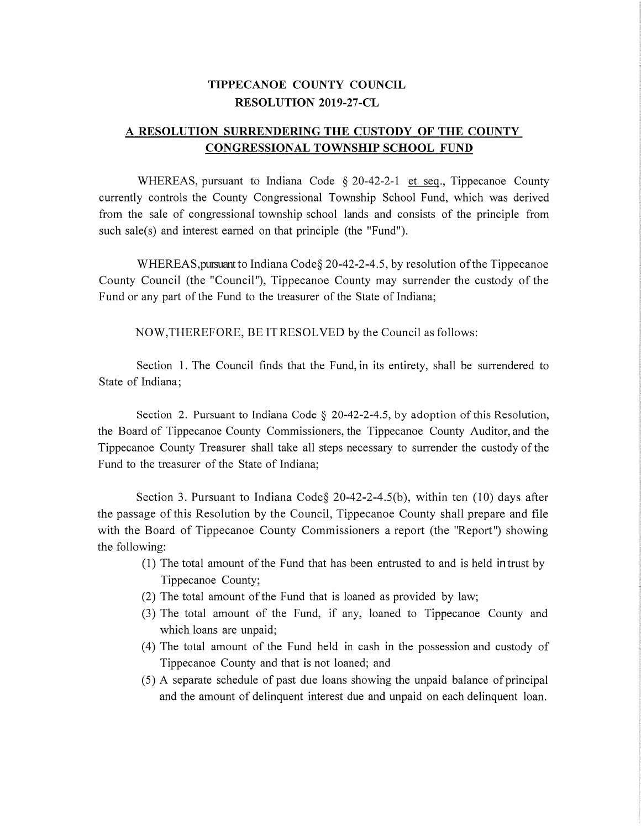## TIPPECANOE COUNTY COUNCIL RESOLUTION 2019-27-CL TIPPECANOE COUNTY COUNCIL<br>RESOLUTION 2019-27-CL<br>A RESOLUTION SURRENDERING THE CUSTODY OF THE COUNTY

## TIPPECANOE COUNTY COUNCIL<br>RESOLUTION 2019-27-CL<br>DN SURRENDERING THE CUSTODY OF THE CONGRESSIONAL TOWNSHIP SCHOOL FUND

**CONGRESSIONAL TOWNSHIP SCHOOL FUND**<br>WHEREAS, pursuant to Indiana Code § 20-42-2-1 et seq., Tippecanoe County CONGRESSIONAL TOWNSHIP SCHOOL FUND<br>WHEREAS, pursuant to Indiana Code § 20-42-2-1 et seq., Tippecanoe County<br>currently controls the County Congressional Township School Fund, which was derived **EONGRESSIONAL TOWNSHIP SCHOOL FUND**<br>WHEREAS, pursuant to Indiana Code § 20-42-2-1 et seq., Tippecanoe County<br>currently controls the County Congressional Township School Fund, which was derived<br>from the sale of congression wHEKEAS, pulsuant to mulana Code § 20-42-2-1<br>currently controls the County Congressional Township Scho<br>from the sale of congressional township school lands and co<br>such sale(s) and interest earned on that principle (the "Fu from the sale of congressional township school lands and consists of the principle from such sale(s) and interest earned on that principle (the "Fund").<br>WHEREAS, pursuant to Indiana Code§ 20-42-2-4.5, by resolution of the

Such safety and interest earlied on that principle (the "rund").<br>WHEREAS, pursuant to Indiana Code § 20-42-2-4.5, by resolution of the Tippecanoe<br>County Council (the "Council"), Tippecanoe County may surrender the custody WHEREAS, pursuant to Indiana Code § 20-42-2-4.5, by resolu<br>County Council (the "Council"), Tippecanoe County may surren<br>Fund or any part of the Fund to the treasurer of the State of Indiana; Council (the "Council"), Tippecanoe County may surrender the any part of the Fund to the treasurer of the State of Indiana;<br>NOW,THEREFORE, BE IT RESOLVED by the Council as follows:

NOW, THEREFORE, BE IT RESOLVED by the Council as follows:<br>Section 1. The Council finds that the Fund, in its entirety, shall be surrendered to State of Indiana;

Section 2. Pursuant to Indiana Code  $\S$  20-42-2-4.5, by adoption of this Resolution, State of Indiana,<br>Section 2. Pursuant to Indiana Code § 20-42-2-4.5, by adoption of this Resolution,<br>the Board of Tippecanoe County Commissioners, the Tippecanoe County Auditor, and the Section 2. Pursuant to Indiana Code  $\S$  20-42-2-4.5, by adoption of this Resolution, the Board of Tippecanoe County Commissioners, the Tippecanoe County Auditor, and the Tippecanoe County Treasurer shall take all steps ne the Board of Tippecanoe County Commission<br>Tippecanoe County Treasurer shall take all<br>Fund to the treasurer of the State of Indiana Tippecanoe County Treasurer shall take all steps necessary to surrender the custody of the<br>Fund to the treasurer of the State of Indiana;<br>Section 3. Pursuant to Indiana Code§ 20-42-2-4.5(b), within ten (10) days after

Fund to the treasurer of the state of filidana,<br>Section 3. Pursuant to Indiana Code § 20-42-2-4.5(b), within ten (10) days after<br>the passage of this Resolution by the Council, Tippecanoe County shall prepare and file Section 3. Pursuant to Indiana Code § 20-42-2-4.5(b), within ten (10) days after<br>the passage of this Resolution by the Council, Tippecanoe County shall prepare and file<br>with the Board of Tippecanoe County Commissioners a r section<br>the passage of<br>with the Boa<br>the following with the Board of Tippecanoe County Commissioners a report (the "Report") showing the following:

- Tippecanoe County;  $(1)$  The total amount of the Fund that has been entrusted to and is held in trust by
- 
- (3) The total amount of the Fund, if any, loaned to Tippecanoe County and (2) The total amount of the Fund that is loaned as provided by law;<br>(3) The total amount of the Fund, if any, loaned to Tippecanoe<br>which loans are unpaid; (3) The total amount of the Fund that is foalled as provided by law,<br>
(3) The total amount of the Fund, if any, loaned to Tippecanoe County and<br>
(4) The total amount of the Fund held in cash in the possession and custody
- The total amount of the Fund, it any, foalied to Tippecanoe County and<br>which loans are unpaid;<br>(4) The total amount of the Fund held in cash in the possession and custody of<br>Tippecanoe County and that is not loaned; and<br>(5
- Tippecanoe County and that is not loaned; and<br>
(5) A separate schedule of past due loans showing the unpaid balance of principal<br>
and the amount of delinquent interest due and unpaid on each delinquent loan.